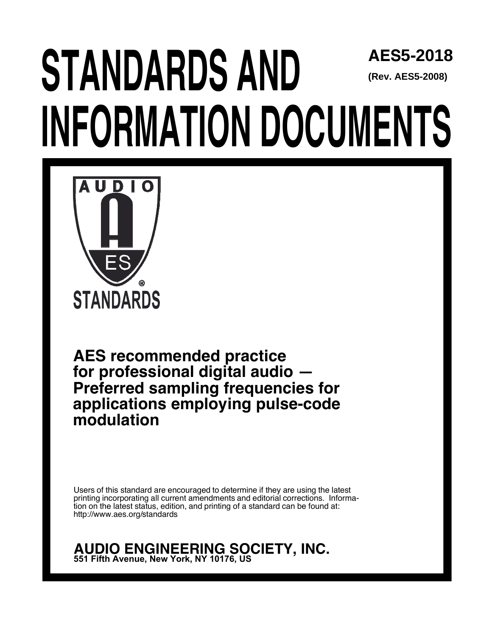## **STANDARDS AND INFORMATION DOCUMENTS AES5-2018 (Rev. AES5-2008)**



**AES recommended practice for professional digital audio — Preferred sampling frequencies for applications employing pulse-code modulation**

Users of this standard are encouraged to determine if they are using the latest printing incorporating all current amendments and editorial corrections. Information on the latest status, edition, and printing of a standard can be found at: http://www.aes.org/standards

**AUDIO ENGINEERING SOCIETY, INC. 551 Fifth Avenue, New York, NY 10176, US**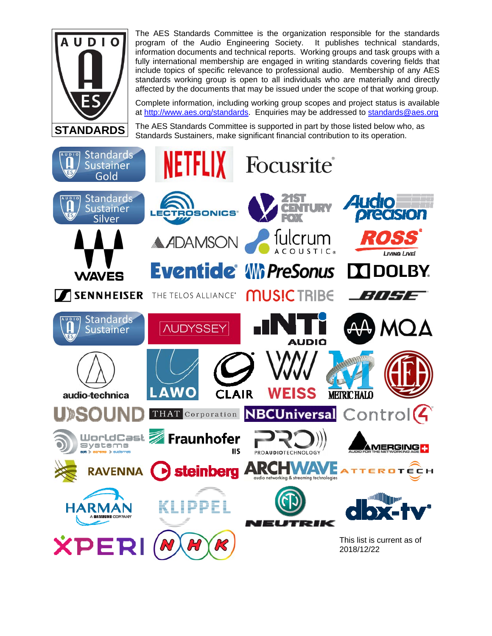

The AES Standards Committee is the organization responsible for the standards program of the Audio Engineering Society. It publishes technical standards, information documents and technical reports. Working groups and task groups with a fully international membership are engaged in writing standards covering fields that include topics of specific relevance to professional audio. Membership of any AES standards working group is open to all individuals who are materially and directly affected by the documents that may be issued under the scope of that working group.

Complete information, including working group scopes and project status is available at http://www.aes.org/standards. Enquiries may be addressed to standards@aes.org

The AES Standards Committee is supported in part by those listed below who, as Standards Sustainers, make significant financial contribution to its operation.

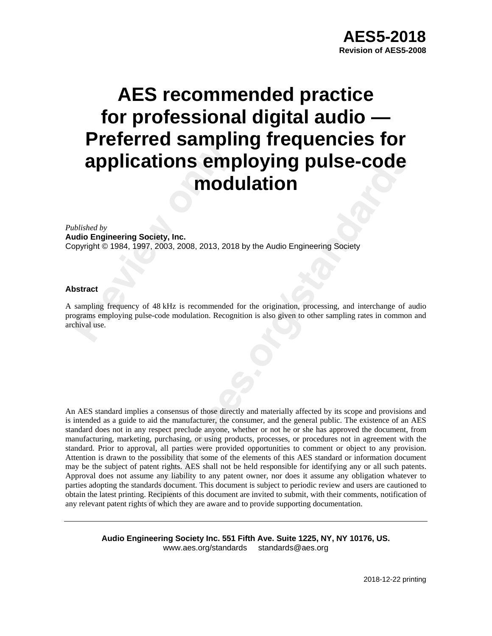# **Previous Seminary 11 Constant of the Constraint of Previous Constant of Previous Constrained by a by a previous Constract sampling frequency of 48 kHz is recommended ograms employing pulse-code modulation. Recogenival use AES recommended practice for professional digital audio — Preferred sampling frequencies for applications employing pulse-code modulation**

### *Published by*

**Audio Engineering Society, Inc.** Copyright © 1984, 1997, 2003, 2008, 2013, 2018 by the Audio Engineering Society

### **Abstract**

A sampling frequency of 48 kHz is recommended for the origination, processing, and interchange of audio programs employing pulse-code modulation. Recognition is also given to other sampling rates in common and archival use.

**REFORM CONTICITY CONTICITY CONTICITY CONTICATES**<br> **WELF THEORY INTEREMONAL SET AND AND CONTICITY CONTICITY**<br>
The AREN'S is recommended for the origination, processing, and interchange of a<br>
secode modulation. Recognition An AES standard implies a consensus of those directly and materially affected by its scope and provisions and is intended as a guide to aid the manufacturer, the consumer, and the general public. The existence of an AES standard does not in any respect preclude anyone, whether or not he or she has approved the document, from manufacturing, marketing, purchasing, or using products, processes, or procedures not in agreement with the standard. Prior to approval, all parties were provided opportunities to comment or object to any provision. Attention is drawn to the possibility that some of the elements of this AES standard or information document may be the subject of patent rights. AES shall not be held responsible for identifying any or all such patents. Approval does not assume any liability to any patent owner, nor does it assume any obligation whatever to parties adopting the standards document. This document is subject to periodic review and users are cautioned to obtain the latest printing. Recipients of this document are invited to submit, with their comments, notification of any relevant patent rights of which they are aware and to provide supporting documentation.

**Audio Engineering Society Inc. 551 Fifth Ave. Suite 1225, NY, NY 10176, US.** www.aes.org/standards standards@aes.org

2018-12-22 printing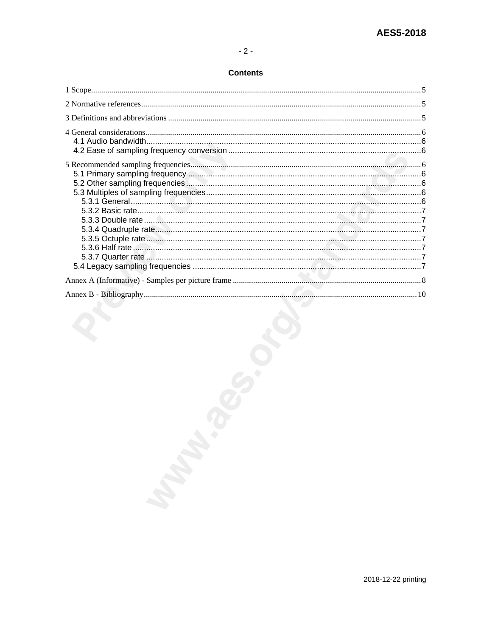### **Contents**

| 2018-12-22 printing |  |
|---------------------|--|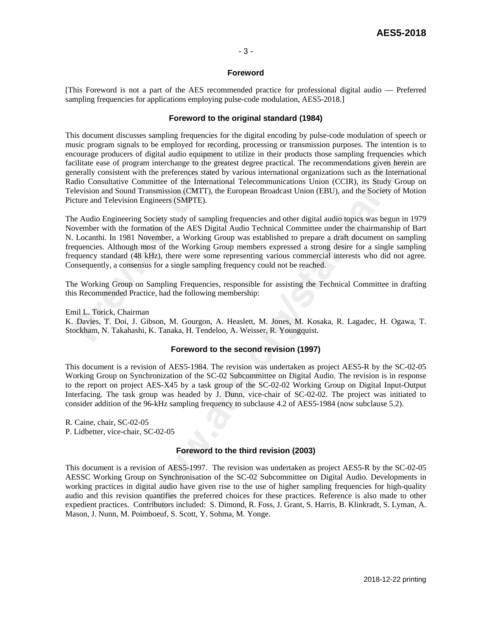### - 3 -

### **Foreword**

[This Foreword is not a part of the AES recommended practice for professional digital audio — Preferred sampling frequencies for applications employing pulse-code modulation, AES5-2018.]

### **Foreword to the original standard (1984)**

usic program signals to be employed for recordin<br>courage producers of digital audio equipment to<br>cilitate ease of program interchange to the greate-<br>nerally consistent with the preferences stated by v<br>adio Consultative Com digital audio equipment to utilize in their products those sampling frequencies that the interchange to the greatest degree practical. The recommendations given herein the preferences stated by various international organi This document discusses sampling frequencies for the digital encoding by pulse-code modulation of speech or music program signals to be employed for recording, processing or transmission purposes. The intention is to encourage producers of digital audio equipment to utilize in their products those sampling frequencies which facilitate ease of program interchange to the greatest degree practical. The recommendations given herein are generally consistent with the preferences stated by various international organizations such as the International Radio Consultative Committee of the International Telecommunications Union (CCIR), its Study Group on Television and Sound Transmission (CMTT), the European Broadcast Union (EBU), and the Society of Motion Picture and Television Engineers (SMPTE).

The Audio Engineering Society study of sampling frequencies and other digital audio topics was begun in 1979 November with the formation of the AES Digital Audio Technical Committee under the chairmanship of Bart N. Locanthi. In 1981 November, a Working Group was established to prepare a draft document on sampling frequencies. Although most of the Working Group members expressed a strong desire for a single sampling frequency standard (48 kHz), there were some representing various commercial interests who did not agree. Consequently, a consensus for a single sampling frequency could not be reached.

The Working Group on Sampling Frequencies, responsible for assisting the Technical Committee in drafting this Recommended Practice, had the following membership:

Emil L. Torick, Chairman

K. Davies, T. Doi, J. Gibson, M. Gourgon, A. Heaslett, M. Jones, M. Kosaka, R. Lagadec, H. Ogawa, T. Stockham, N. Takahashi, K. Tanaka, H. Tendeloo, A. Weisser, R. Youngquist.

### **Foreword to the second revision (1997)**

This document is a revision of AES5-1984. The revision was undertaken as project AES5-R by the SC-02-05 Working Group on Synchronization of the SC-02 Subcommittee on Digital Audio. The revision is in response to the report on project AES-X45 by a task group of the SC-02-02 Working Group on Digital Input-Output Interfacing. The task group was headed by J. Dunn, vice-chair of SC-02-02. The project was initiated to consider addition of the 96-kHz sampling frequency to subclause 4.2 of AES5-1984 (now subclause 5.2).

R. Caine, chair, SC-02-05 P. Lidbetter, vice-chair, SC-02-05

### **Foreword to the third revision (2003)**

This document is a revision of AES5-1997. The revision was undertaken as project AES5-R by the SC-02-05 AESSC Working Group on Synchronisation of the SC-02 Subcommittee on Digital Audio. Developments in working practices in digital audio have given rise to the use of higher sampling frequencies for high-quality audio and this revision quantifies the preferred choices for these practices. Reference is also made to other expedient practices. Contributors included: S. Dimond, R. Foss, J. Grant, S. Harris, B. Klinkradt, S. Lyman, A. Mason, J. Nunn, M. Poimboeuf, S. Scott, Y. Sohma, M. Yonge.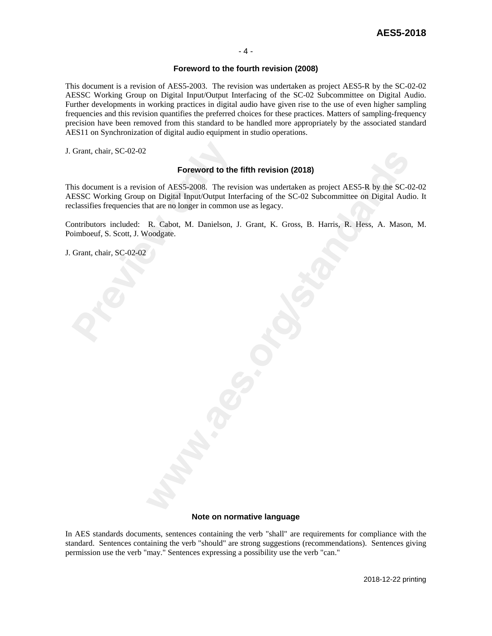### **Foreword to the fourth revision (2008)**

This document is a revision of AES5-2003. The revision was undertaken as project AES5-R by the SC-02-02 AESSC Working Group on Digital Input/Output Interfacing of the SC-02 Subcommittee on Digital Audio. Further developments in working practices in digital audio have given rise to the use of even higher sampling frequencies and this revision quantifies the preferred choices for these practices. Matters of sampling-frequency precision have been removed from this standard to be handled more appropriately by the associated standard AES11 on Synchronization of digital audio equipment in studio operations.

J. Grant, chair, SC-02-02

### **Foreword to the fifth revision (2018)**

Grant, chair, SC-02-02<br> **Proceword to th**<br>
Foreword to th<br>
nis document is a revision of AES5-2008. The re<br>
ESSC Working Group on Digital Input/Output In<br>
classifies frequencies that are no longer in common<br>
ontributors in **Foreword to the fifth revision (2018)**<br>
ion of AES5-2008. The revision was undertaken as project AESS-R by the SC-C<br>
on Digital Input/Output Interfacing of the SC-02 Subcommittee on Digital Aud<br>
nat are no longer in commo This document is a revision of AES5-2008. The revision was undertaken as project AES5-R by the SC-02-02 AESSC Working Group on Digital Input/Output Interfacing of the SC-02 Subcommittee on Digital Audio. It reclassifies frequencies that are no longer in common use as legacy.

Contributors included: R. Cabot, M. Danielson, J. Grant, K. Gross, B. Harris, R. Hess, A. Mason, M. Poimboeuf, S. Scott, J. Woodgate.

J. Grant, chair, SC-02-02

#### **Note on normative language**

In AES standards documents, sentences containing the verb "shall" are requirements for compliance with the standard. Sentences containing the verb "should" are strong suggestions (recommendations). Sentences giving permission use the verb "may." Sentences expressing a possibility use the verb "can."